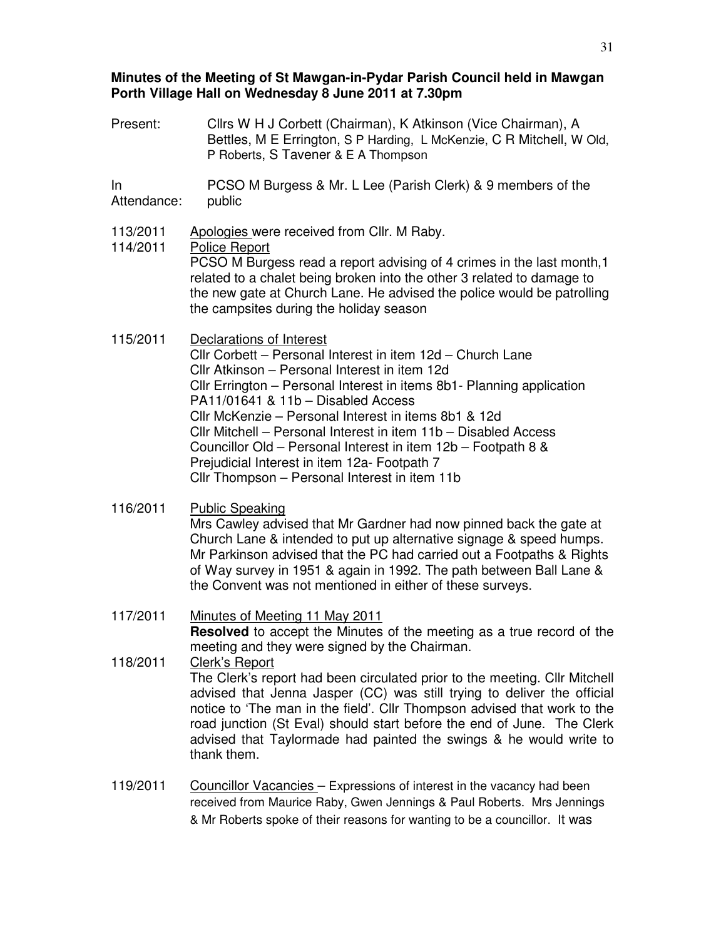## **Minutes of the Meeting of St Mawgan-in-Pydar Parish Council held in Mawgan Porth Village Hall on Wednesday 8 June 2011 at 7.30pm**

Present: Cllrs W H J Corbett (Chairman), K Atkinson (Vice Chairman), A Bettles, M E Errington, S P Harding, L McKenzie, C R Mitchell, W Old, P Roberts, S Tavener & E A Thompson

In Attendance: PCSO M Burgess & Mr. L Lee (Parish Clerk) & 9 members of the public

- 113/2011 Apologies were received from Cllr. M Raby.
- 114/2011 Police Report PCSO M Burgess read a report advising of 4 crimes in the last month,1 related to a chalet being broken into the other 3 related to damage to the new gate at Church Lane. He advised the police would be patrolling the campsites during the holiday season
- 115/2011 Declarations of Interest Cllr Corbett – Personal Interest in item 12d – Church Lane Cllr Atkinson – Personal Interest in item 12d Cllr Errington – Personal Interest in items 8b1- Planning application PA11/01641 & 11b – Disabled Access Cllr McKenzie – Personal Interest in items 8b1 & 12d Cllr Mitchell – Personal Interest in item 11b – Disabled Access Councillor Old – Personal Interest in item 12b – Footpath 8 & Prejudicial Interest in item 12a- Footpath 7 Cllr Thompson – Personal Interest in item 11b
- 116/2011 Public Speaking

Mrs Cawley advised that Mr Gardner had now pinned back the gate at Church Lane & intended to put up alternative signage & speed humps. Mr Parkinson advised that the PC had carried out a Footpaths & Rights of Way survey in 1951 & again in 1992. The path between Ball Lane & the Convent was not mentioned in either of these surveys.

117/2011 Minutes of Meeting 11 May 2011

**Resolved** to accept the Minutes of the meeting as a true record of the meeting and they were signed by the Chairman.

- 118/2011 Clerk's Report The Clerk's report had been circulated prior to the meeting. Cllr Mitchell advised that Jenna Jasper (CC) was still trying to deliver the official notice to 'The man in the field'. Cllr Thompson advised that work to the road junction (St Eval) should start before the end of June. The Clerk advised that Taylormade had painted the swings & he would write to thank them.
- 119/2011 Councillor Vacancies Expressions of interest in the vacancy had been received from Maurice Raby, Gwen Jennings & Paul Roberts. Mrs Jennings & Mr Roberts spoke of their reasons for wanting to be a councillor. It was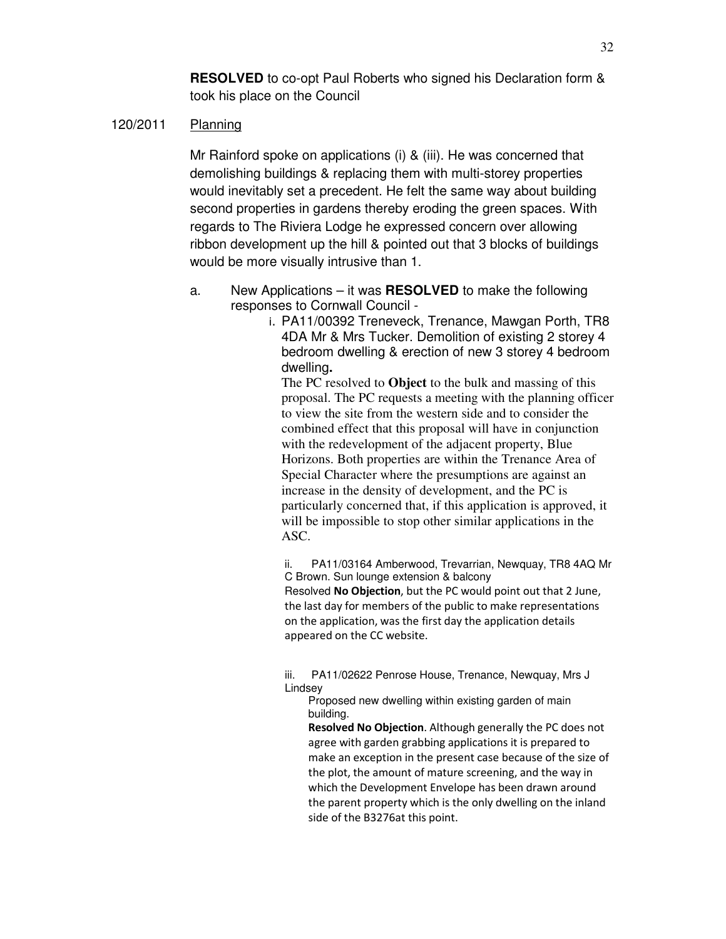**RESOLVED** to co-opt Paul Roberts who signed his Declaration form & took his place on the Council

### 120/2011 Planning

Mr Rainford spoke on applications (i) & (iii). He was concerned that demolishing buildings & replacing them with multi-storey properties would inevitably set a precedent. He felt the same way about building second properties in gardens thereby eroding the green spaces. With regards to The Riviera Lodge he expressed concern over allowing ribbon development up the hill & pointed out that 3 blocks of buildings would be more visually intrusive than 1.

- a. New Applications it was **RESOLVED** to make the following responses to Cornwall Council
	- i. PA11/00392 Treneveck, Trenance, Mawgan Porth, TR8 4DA Mr & Mrs Tucker. Demolition of existing 2 storey 4 bedroom dwelling & erection of new 3 storey 4 bedroom dwelling**.**

The PC resolved to **Object** to the bulk and massing of this proposal. The PC requests a meeting with the planning officer to view the site from the western side and to consider the combined effect that this proposal will have in conjunction with the redevelopment of the adjacent property, Blue Horizons. Both properties are within the Trenance Area of Special Character where the presumptions are against an increase in the density of development, and the PC is particularly concerned that, if this application is approved, it will be impossible to stop other similar applications in the ASC.

ii. PA11/03164 Amberwood, Trevarrian, Newquay, TR8 4AQ Mr C Brown. Sun lounge extension & balcony Resolved No Objection, but the PC would point out that 2 June, the last day for members of the public to make representations on the application, was the first day the application details appeared on the CC website.

iii. PA11/02622 Penrose House, Trenance, Newquay, Mrs J Lindsey

Proposed new dwelling within existing garden of main building.

Resolved No Objection. Although generally the PC does not agree with garden grabbing applications it is prepared to make an exception in the present case because of the size of the plot, the amount of mature screening, and the way in which the Development Envelope has been drawn around the parent property which is the only dwelling on the inland side of the B3276at this point.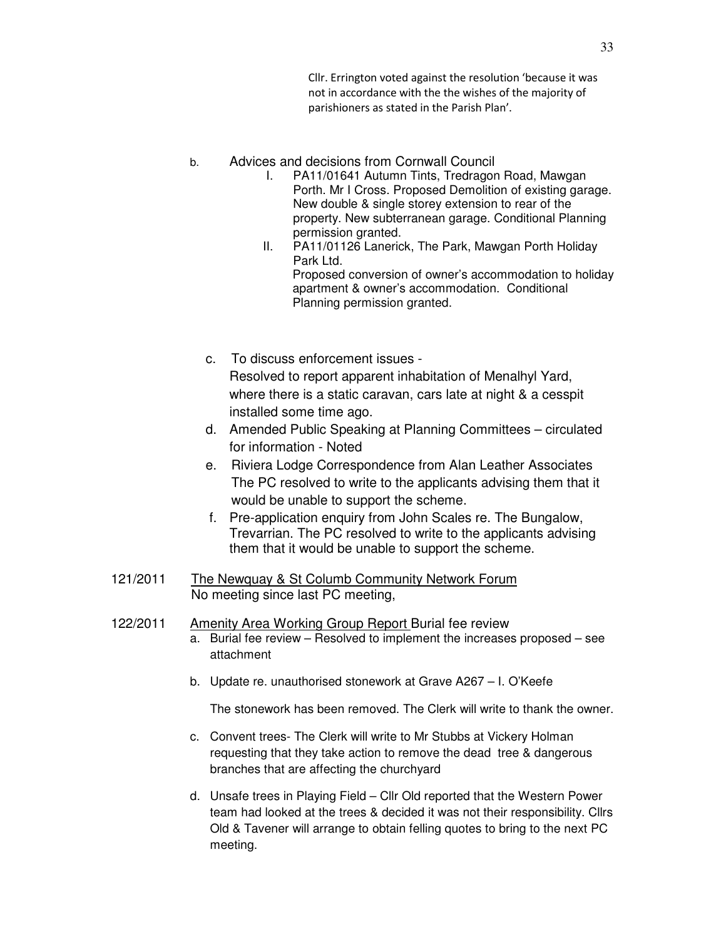Cllr. Errington voted against the resolution 'because it was not in accordance with the the wishes of the majority of parishioners as stated in the Parish Plan'.

- b. Advices and decisions from Cornwall Council
	- I. PA11/01641 Autumn Tints, Tredragon Road, Mawgan Porth. Mr I Cross. Proposed Demolition of existing garage. New double & single storey extension to rear of the property. New subterranean garage. Conditional Planning permission granted.
	- II. PA11/01126 Lanerick, The Park, Mawgan Porth Holiday Park Ltd. Proposed conversion of owner's accommodation to holiday apartment & owner's accommodation. Conditional Planning permission granted.
	- c. To discuss enforcement issues Resolved to report apparent inhabitation of Menalhyl Yard, where there is a static caravan, cars late at night & a cesspit installed some time ago.
	- d. Amended Public Speaking at Planning Committees circulated for information - Noted
	- e. Riviera Lodge Correspondence from Alan Leather Associates The PC resolved to write to the applicants advising them that it would be unable to support the scheme.
	- f. Pre-application enquiry from John Scales re. The Bungalow, Trevarrian. The PC resolved to write to the applicants advising them that it would be unable to support the scheme.
- 121/2011 The Newquay & St Columb Community Network Forum No meeting since last PC meeting,
- 122/2011 Amenity Area Working Group Report Burial fee review
	- a. Burial fee review Resolved to implement the increases proposed see attachment
	- b. Update re. unauthorised stonework at Grave A267 I. O'Keefe

The stonework has been removed. The Clerk will write to thank the owner.

- c. Convent trees- The Clerk will write to Mr Stubbs at Vickery Holman requesting that they take action to remove the dead tree & dangerous branches that are affecting the churchyard
- d. Unsafe trees in Playing Field Cllr Old reported that the Western Power team had looked at the trees & decided it was not their responsibility. Cllrs Old & Tavener will arrange to obtain felling quotes to bring to the next PC meeting.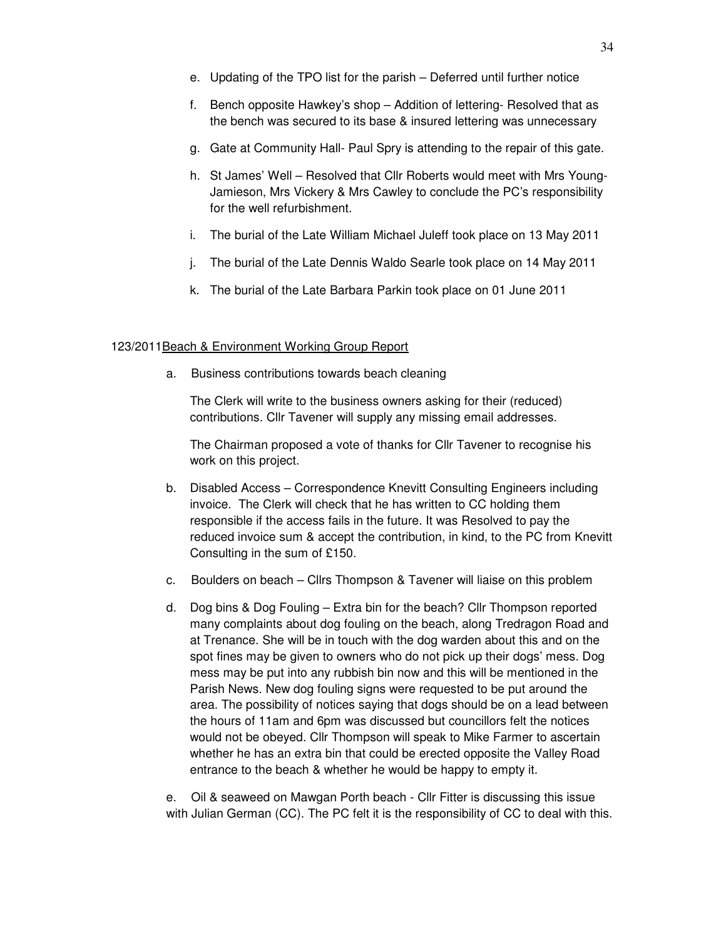- e. Updating of the TPO list for the parish Deferred until further notice
- f. Bench opposite Hawkey's shop Addition of lettering- Resolved that as the bench was secured to its base & insured lettering was unnecessary
- g. Gate at Community Hall- Paul Spry is attending to the repair of this gate.
- h. St James' Well Resolved that Cllr Roberts would meet with Mrs Young-Jamieson, Mrs Vickery & Mrs Cawley to conclude the PC's responsibility for the well refurbishment.
- i. The burial of the Late William Michael Juleff took place on 13 May 2011
- j. The burial of the Late Dennis Waldo Searle took place on 14 May 2011
- k. The burial of the Late Barbara Parkin took place on 01 June 2011

#### 123/2011Beach & Environment Working Group Report

a. Business contributions towards beach cleaning

The Clerk will write to the business owners asking for their (reduced) contributions. Cllr Tavener will supply any missing email addresses.

The Chairman proposed a vote of thanks for Cllr Tavener to recognise his work on this project.

- b. Disabled Access Correspondence Knevitt Consulting Engineers including invoice. The Clerk will check that he has written to CC holding them responsible if the access fails in the future. It was Resolved to pay the reduced invoice sum & accept the contribution, in kind, to the PC from Knevitt Consulting in the sum of £150.
- c. Boulders on beach Cllrs Thompson & Tavener will liaise on this problem
- d. Dog bins & Dog Fouling Extra bin for the beach? Cllr Thompson reported many complaints about dog fouling on the beach, along Tredragon Road and at Trenance. She will be in touch with the dog warden about this and on the spot fines may be given to owners who do not pick up their dogs' mess. Dog mess may be put into any rubbish bin now and this will be mentioned in the Parish News. New dog fouling signs were requested to be put around the area. The possibility of notices saying that dogs should be on a lead between the hours of 11am and 6pm was discussed but councillors felt the notices would not be obeyed. Cllr Thompson will speak to Mike Farmer to ascertain whether he has an extra bin that could be erected opposite the Valley Road entrance to the beach & whether he would be happy to empty it.

e. Oil & seaweed on Mawgan Porth beach - Cllr Fitter is discussing this issue with Julian German (CC). The PC felt it is the responsibility of CC to deal with this.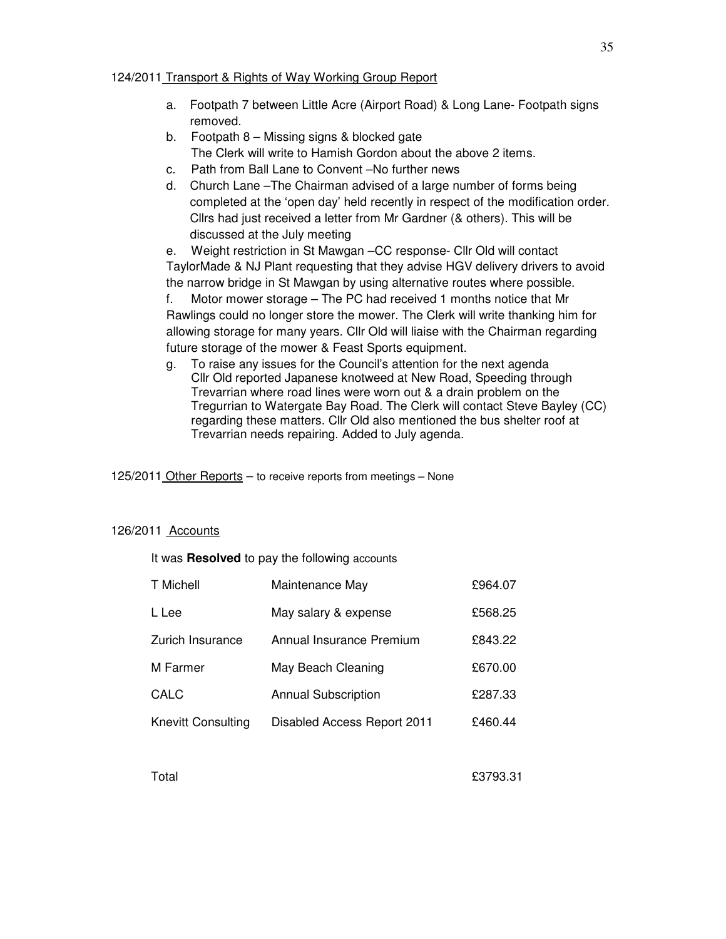### 124/2011 Transport & Rights of Way Working Group Report

- a. Footpath 7 between Little Acre (Airport Road) & Long Lane- Footpath signs removed.
- b. Footpath 8 Missing signs & blocked gate The Clerk will write to Hamish Gordon about the above 2 items.
- c. Path from Ball Lane to Convent –No further news
- d. Church Lane –The Chairman advised of a large number of forms being completed at the 'open day' held recently in respect of the modification order. Cllrs had just received a letter from Mr Gardner (& others). This will be discussed at the July meeting

e. Weight restriction in St Mawgan –CC response- Cllr Old will contact TaylorMade & NJ Plant requesting that they advise HGV delivery drivers to avoid the narrow bridge in St Mawgan by using alternative routes where possible.

f. Motor mower storage – The PC had received 1 months notice that Mr Rawlings could no longer store the mower. The Clerk will write thanking him for allowing storage for many years. Cllr Old will liaise with the Chairman regarding future storage of the mower & Feast Sports equipment.

g. To raise any issues for the Council's attention for the next agenda Cllr Old reported Japanese knotweed at New Road, Speeding through Trevarrian where road lines were worn out & a drain problem on the Tregurrian to Watergate Bay Road. The Clerk will contact Steve Bayley (CC) regarding these matters. Cllr Old also mentioned the bus shelter roof at Trevarrian needs repairing. Added to July agenda.

125/2011 Other Reports - to receive reports from meetings - None

# 126/2011 Accounts

It was **Resolved** to pay the following accounts

| T Michell          | Maintenance May             | £964.07 |
|--------------------|-----------------------------|---------|
| L Lee              | May salary & expense        | £568.25 |
| Zurich Insurance   | Annual Insurance Premium    | £843.22 |
| M Farmer           | May Beach Cleaning          | £670.00 |
| <b>CALC</b>        | <b>Annual Subscription</b>  | £287.33 |
| Knevitt Consulting | Disabled Access Report 2011 | £460.44 |

Total £3793.31